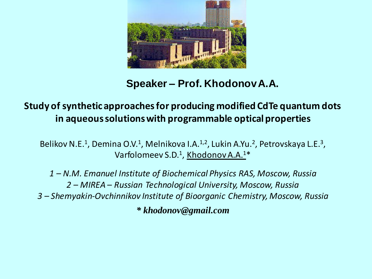

# **Speaker – Prof. KhodonovA.A.**

## **Study of synthetic approaches for producing modified CdTe quantum dots in aqueous solutions with programmable optical properties**

Belikov N.E.<sup>1</sup>, Demina O.V.<sup>1</sup>, Melnikova I.A.<sup>1,2</sup>, Lukin A.Yu.<sup>2</sup>, Petrovskaya L.E.<sup>3</sup>, Varfolomeev S.D.<sup>1</sup>, Khodonov A.A.<sup>1\*</sup>

*1 – N.M. Emanuel Institute of Biochemical Physics RAS, Moscow, Russia 2 – MIREA – Russian Technological University, Moscow, Russia 3 – Shemyakin-Ovchinnikov Institute of Bioorganic Chemistry, Moscow, Russia*

*\* khodonov@gmail.com*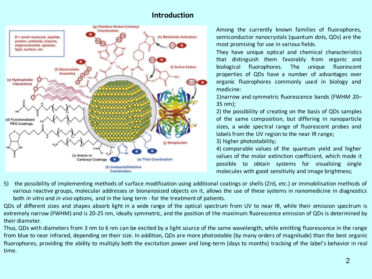## **Introduction**



Among the currently known families of fluorophores, semiconductor nanocrystals (quantum dots, QDs) are the most promising for use in various fields.

They have unique optical and chemical characteristics that distinguish them favorably from organic and biological fluorophores. The unique fluorescent properties of QDs have a number of advantages over organic fluorophores commonly used in biology and medicine:

1)narrow and symmetric fluorescence bands (FWHM 20– 35 nm);

2) the possibility of creating on the basis of QDs samples of the same composition, but differing in nanoparticle sizes, a wide spectral range of fluorescent probes and labels from the UV region to the near IR range;

3) higher photostability;

4) comparable values of the quantum yield and higher values of the molar extinction coefficient, which made it possible to obtain systems for visualizing single molecules with good sensitivity and image brightness;

5) the possibility of implementing methods of surface modification using additional coatings or shells (ZnS, etc.) or immobilisation methods of various reactive groups, molecular addresses or bionanosized objects on it, allows the use of these systems in nanomedicine in diagnostics both *in vitro* and *in vivo* options, and in the long term - for the treatment of patients.

QDs of different sizes and shapes absorb light in a wide range of the optical spectrum from UV to near IR, while their emission spectrum is extremely narrow (FWHM) and is 20-25 nm, ideally symmetric, and the position of the maximum fluorescence emission of QDs is determined by their diameter.

Thus, QDs with diameters from 3 nm to 6 nm can be excited by a light source of the same wavelength, while emitting fluorescence in the range from blue to near infrared, depending on their size. In addition, QDs are more photostable (by many orders of magnitude) than the best organic fluorophores, providing the ability to multiply both the excitation power and long-term (days to months) tracking of the label's behavior in real time.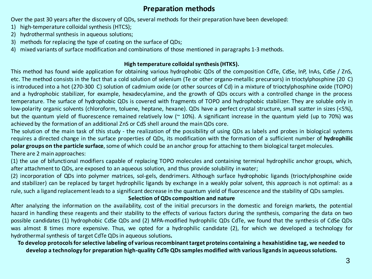## **Preparation methods**

Over the past 30 years after the discovery of QDs, several methods for their preparation have been developed:

- 1) high-temperature colloidal synthesis (HTCS);
- 2) hydrothermal synthesis in aqueous solutions;
- 3) methods for replacing the type of coating on the surface of QDs;
- 4) mixed variants of surface modification and combinations of those mentioned in paragraphs 1-3 methods.

### **High temperature colloidal synthesis (HTKS).**

This method has found wide application for obtaining various hydrophobic QDs of the composition CdTe, CdSe, InP, InAs, CdSe / ZnS, etc. The method consists in the fact that a cold solution of selenium (Te or other organo-metallic precursors) in trioctylphosphine (20 C) is introduced into a hot (270-300 C) solution of cadmium oxide (or other sources of Cd) in a mixture of trioctylphosphine oxide (TOPO) and a hydrophobic stabilizer, for example, hexadecylamine, and the growth of QDs occurs with a controlled change in the process temperature. The surface of hydrophobic QDs is covered with fragments of TOPO and hydrophobic stabilizer. They are soluble only in low-polarity organic solvents (chloroform, toluene, heptane, hexane). QDs have a perfect crystal structure, small scatter in sizes (<5%), but the quantum yield of fluorescence remained relatively low ( $\approx 10\%$ ). A significant increase in the quantum yield (up to 70%) was achieved by the formation of an additional ZnS or CdS shell around the mainQDs core.

The solution of the main task of this study - the realization of the possibility of using QDs as labels and probes in biological systems requires a directed change in the surface properties of QDs, its modification with the formation of a sufficient number of **hydrophilic polar groups on the particle surface**, some of which could be an anchor group for attaching to them biological target molecules.

There are 2 main approaches:

(1) the use of bifunctional modifiers capable of replacing TOPO molecules and containing terminal hydrophilic anchor groups, which, after attachment to QDs, are exposed to an aqueous solution, and thus provide solubility in water;

(2) incorporation of QDs into polymer matrices, sol-gels, dendrimers. Although surface hydrophobic ligands (trioctylphosphine oxide and stabilizer) can be replaced by target hydrophilic ligands by exchange in a weakly polar solvent, this approach is not optimal: as a rule, such a ligand replacement leads to a significant decrease in the quantum yield of fluorescence and the stability of QDs samples.

### **Selection of QDs composition and nature**

After analyzing the information on the availability, cost of the initial precursors in the domestic and foreign markets, the potential hazard in handling these reagents and their stability to the effects of various factors during the synthesis, comparing the data on two possible candidates (1) hydrophobic CdSe QDs and (2) MPA-modified hydrophilic QDs CdTe, we found that the synthesis of CdSe QDs was almost 8 times more expensive. Thus, we opted for a hydrophilic candidate (2), for which we developed a technology for hydrothermal synthesis of target CdTe QDsin aqueous solutions**.**

**To develop protocols for selective labeling of various recombinant target proteins containing a hexahistidine tag, we needed to develop a technology for preparation high-quality CdTe QDs samples modified with various ligands in aqueous solutions.**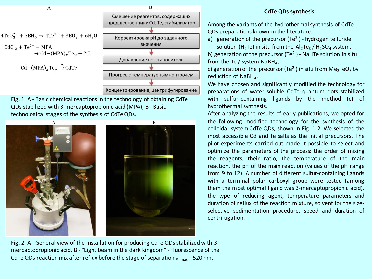

Fig. 1. A - Basic chemical reactions in the technology of obtaining CdTe QDs stabilized with 3-mercaptopropionic acid (MPA), B - Basic technological stages of the synthesis of CdTe QDs.



#### **CdTe QDs synthesis**

Among the variants of the hydrothermal synthesis of CdTe QDs preparations known in the literature:

a) generation of the precursor (Te<sup>2-</sup>) - hydrogen telluride

solution (H<sub>2</sub>Te) in situ from the  $Al_2Te_3$  / H<sub>2</sub>SO<sub>4</sub> system, b) generation of the precursor (Te<sup>2-</sup>) - NaHTe solution in situ from the Te / system  $\textsf{NaBH}_4$ ,

c) generation of the precursor (Te<sup>2-</sup>) in situ from  $\mathsf{Me}_2\mathsf{TeO}_3$  by reduction of NaBH<sub>4</sub>,

We have chosen and significantly modified the technology for preparations of water-soluble CdTe quantum dots stabilized with sulfur-containing ligands by the method (c) of hydrothermal synthesis.

After analyzing the results of early publications, we opted for the following modified technology for the synthesis of the colloidal system CdTe QDs, shown in Fig. 1-2. We selected the most accessible Cd and Te salts as the initial precursors. The pilot experiments carried out made it possible to select and optimize the parameters of the process: the order of mixing the reagents, their ratio, the temperature of the main reaction, the pH of the main reaction (values of the pH range from 9 to 12). A number of different sulfur-containing ligands with a terminal polar carboxyl group were tested (among them the most optimal ligand was 3-mercaptopropionic acid), the type of reducing agent, temperature parameters and duration of reflux of the reaction mixture, solvent for the sizeselective sedimentation procedure, speed and duration of centrifugation.

Fig. 2. A - General view of the installation for producing CdTe QDs stabilized with 3 mercaptopropionic acid, B - "Light beam in the dark kingdom" - fluorescence of the CdTe QDs reaction mix after reflux before the stage of separation  $\lambda_{\text{max fl}}$  520 nm.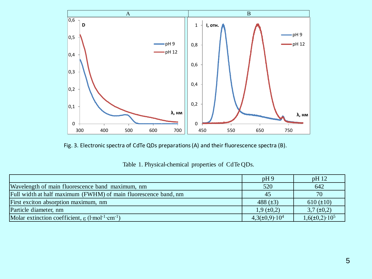

Fig. 3. Electronic spectra of CdTe QDs preparations (A) and their fluorescence spectra (B).

|                                                                                      | pH9                      | pH12                     |
|--------------------------------------------------------------------------------------|--------------------------|--------------------------|
| Wavelength of main fluorescence band maximum, nm                                     | 520                      | 642                      |
| Full width at half maximum (FWHM) of main fluorescence band, nm                      | 45                       | 70                       |
| First exciton absorption maximum, nm                                                 | 488 $(\pm 3)$            | $610 (\pm 10)$           |
| Particle diameter, nm                                                                | $1,9 \ (\pm 0,2)$        | $3,7 \ (\pm 0,2)$        |
| Molar extinction coefficient, $\varepsilon$ (l·mol <sup>-1</sup> ·cm <sup>-1</sup> ) | $4,3(\pm 0,9)\cdot 10^4$ | $1,6(\pm 0,2)\cdot 10^5$ |

Table 1. Physical-chemical properties of CdTe QDs.